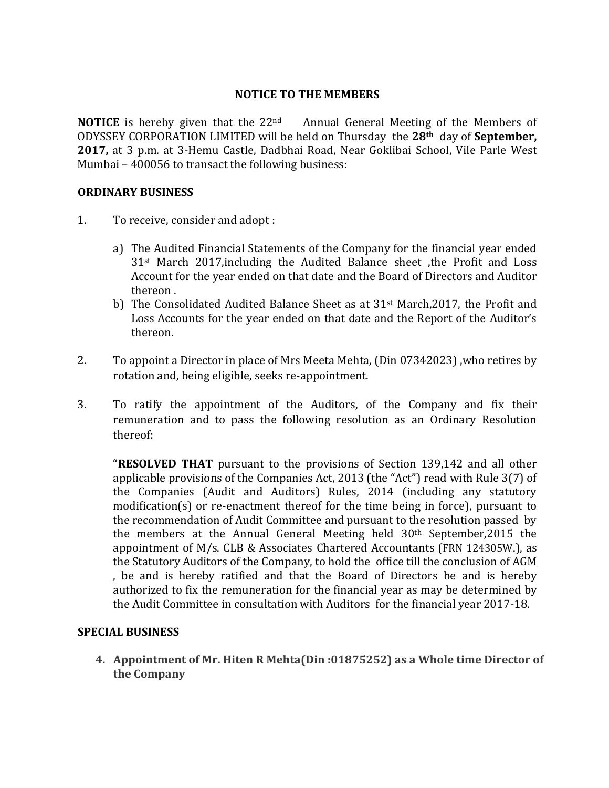#### **NOTICE TO THE MEMBERS**

**NOTICE** is hereby given that the 22<sup>nd</sup> Annual General Meeting of the Members of ODYSSEY CORPORATION LIMITED will be held on Thursday the **28th** day of **September, 2017,** at 3 p.m. at 3-Hemu Castle, Dadbhai Road, Near Goklibai School, Vile Parle West Mumbai – 400056 to transact the following business:

#### **ORDINARY BUSINESS**

- 1. To receive, consider and adopt :
	- a) The Audited Financial Statements of the Company for the financial year ended 31st March 2017,including the Audited Balance sheet ,the Profit and Loss Account for the year ended on that date and the Board of Directors and Auditor thereon .
	- b) The Consolidated Audited Balance Sheet as at  $31<sup>st</sup>$  March, 2017, the Profit and Loss Accounts for the year ended on that date and the Report of the Auditor's thereon.
- 2. To appoint a Director in place of Mrs Meeta Mehta, (Din 07342023) ,who retires by rotation and, being eligible, seeks re-appointment.
- 3. To ratify the appointment of the Auditors, of the Company and fix their remuneration and to pass the following resolution as an Ordinary Resolution thereof:

"**RESOLVED THAT** pursuant to the provisions of Section 139,142 and all other applicable provisions of the Companies Act, 2013 (the "Act") read with Rule 3(7) of the Companies (Audit and Auditors) Rules, 2014 (including any statutory modification(s) or re-enactment thereof for the time being in force), pursuant to the recommendation of Audit Committee and pursuant to the resolution passed by the members at the Annual General Meeting held 30th September,2015 the appointment of M/s. CLB & Associates Chartered Accountants (FRN 124305W.), as the Statutory Auditors of the Company, to hold the office till the conclusion of AGM , be and is hereby ratified and that the Board of Directors be and is hereby authorized to fix the remuneration for the financial year as may be determined by the Audit Committee in consultation with Auditors for the financial year 2017-18.

#### **SPECIAL BUSINESS**

**4. Appointment of Mr. Hiten R Mehta(Din :01875252) as a Whole time Director of the Company**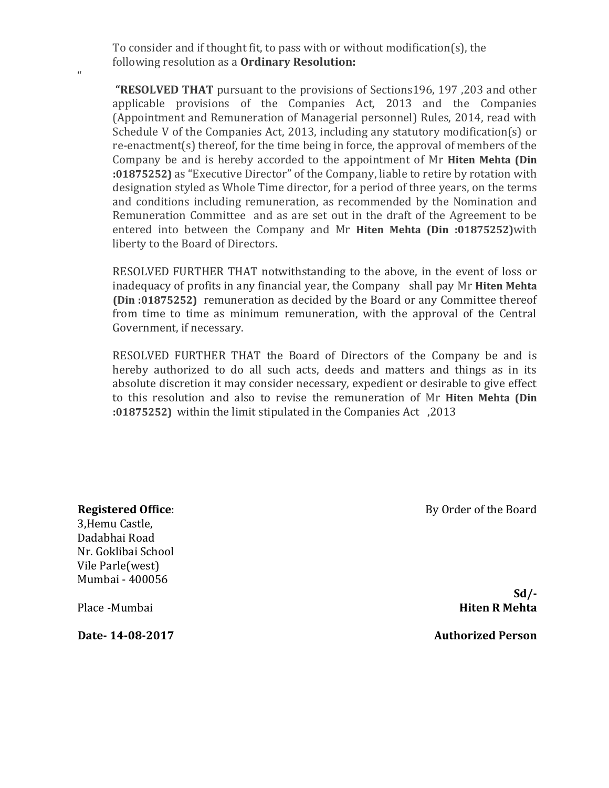To consider and if thought fit, to pass with or without modification(s), the following resolution as a **Ordinary Resolution:**

**"RESOLVED THAT** pursuant to the provisions of Sections196, 197 ,203 and other applicable provisions of the Companies Act, 2013 and the Companies (Appointment and Remuneration of Managerial personnel) Rules, 2014, read with Schedule V of the Companies Act, 2013, including any statutory modification(s) or re-enactment(s) thereof, for the time being in force, the approval of members of the Company be and is hereby accorded to the appointment of Mr **Hiten Mehta (Din :01875252)** as "Executive Director" of the Company, liable to retire by rotation with designation styled as Whole Time director, for a period of three years, on the terms and conditions including remuneration, as recommended by the Nomination and Remuneration Committee and as are set out in the draft of the Agreement to be entered into between the Company and Mr **Hiten Mehta (Din :01875252)**with liberty to the Board of Directors.

RESOLVED FURTHER THAT notwithstanding to the above, in the event of loss or inadequacy of profits in any financial year, the Company shall pay Mr **Hiten Mehta (Din :01875252)** remuneration as decided by the Board or any Committee thereof from time to time as minimum remuneration, with the approval of the Central Government, if necessary.

RESOLVED FURTHER THAT the Board of Directors of the Company be and is hereby authorized to do all such acts, deeds and matters and things as in its absolute discretion it may consider necessary, expedient or desirable to give effect to this resolution and also to revise the remuneration of Mr **Hiten Mehta (Din :01875252)** within the limit stipulated in the Companies Act ,2013

**Registered Office**: 3,Hemu Castle, Dadabhai Road Nr. Goklibai School Vile Parle(west) Mumbai - 400056

 $\mathbf{u}$ 

By Order of the Board

**Sd/-** Place -Mumbai **Hiten R Mehta** 

**Date- 14-08-2017 Authorized Person**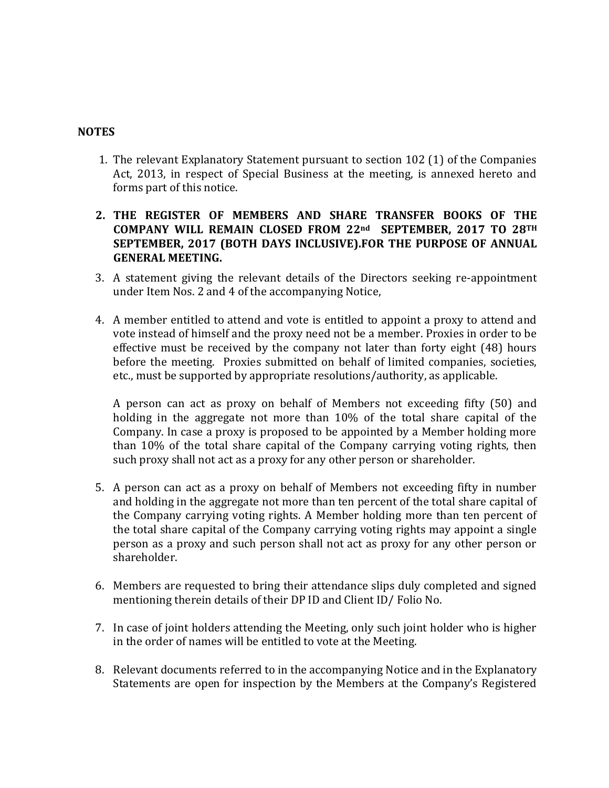### **NOTES**

- 1. The relevant Explanatory Statement pursuant to section 102 (1) of the Companies Act, 2013, in respect of Special Business at the meeting, is annexed hereto and forms part of this notice.
- **2. THE REGISTER OF MEMBERS AND SHARE TRANSFER BOOKS OF THE COMPANY WILL REMAIN CLOSED FROM 22nd SEPTEMBER, 2017 TO 28TH SEPTEMBER, 2017 (BOTH DAYS INCLUSIVE).FOR THE PURPOSE OF ANNUAL GENERAL MEETING.**
- 3. A statement giving the relevant details of the Directors seeking re-appointment under Item Nos. 2 and 4 of the accompanying Notice,
- 4. A member entitled to attend and vote is entitled to appoint a proxy to attend and vote instead of himself and the proxy need not be a member. Proxies in order to be effective must be received by the company not later than forty eight (48) hours before the meeting. Proxies submitted on behalf of limited companies, societies, etc., must be supported by appropriate resolutions/authority, as applicable.

A person can act as proxy on behalf of Members not exceeding fifty (50) and holding in the aggregate not more than 10% of the total share capital of the Company. In case a proxy is proposed to be appointed by a Member holding more than 10% of the total share capital of the Company carrying voting rights, then such proxy shall not act as a proxy for any other person or shareholder.

- 5. A person can act as a proxy on behalf of Members not exceeding fifty in number and holding in the aggregate not more than ten percent of the total share capital of the Company carrying voting rights. A Member holding more than ten percent of the total share capital of the Company carrying voting rights may appoint a single person as a proxy and such person shall not act as proxy for any other person or shareholder.
- 6. Members are requested to bring their attendance slips duly completed and signed mentioning therein details of their DP ID and Client ID/ Folio No.
- 7. In case of joint holders attending the Meeting, only such joint holder who is higher in the order of names will be entitled to vote at the Meeting.
- 8. Relevant documents referred to in the accompanying Notice and in the Explanatory Statements are open for inspection by the Members at the Company's Registered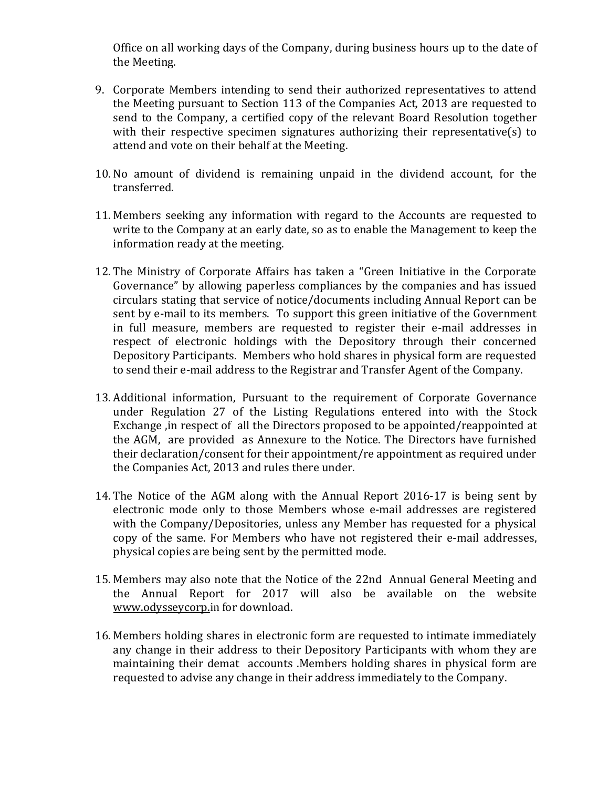Office on all working days of the Company, during business hours up to the date of the Meeting.

- 9. Corporate Members intending to send their authorized representatives to attend the Meeting pursuant to Section 113 of the Companies Act, 2013 are requested to send to the Company, a certified copy of the relevant Board Resolution together with their respective specimen signatures authorizing their representative(s) to attend and vote on their behalf at the Meeting.
- 10. No amount of dividend is remaining unpaid in the dividend account, for the transferred.
- 11. Members seeking any information with regard to the Accounts are requested to write to the Company at an early date, so as to enable the Management to keep the information ready at the meeting.
- 12. The Ministry of Corporate Affairs has taken a "Green Initiative in the Corporate Governance" by allowing paperless compliances by the companies and has issued circulars stating that service of notice/documents including Annual Report can be sent by e-mail to its members. To support this green initiative of the Government in full measure, members are requested to register their e-mail addresses in respect of electronic holdings with the Depository through their concerned Depository Participants. Members who hold shares in physical form are requested to send their e-mail address to the Registrar and Transfer Agent of the Company.
- 13. Additional information, Pursuant to the requirement of Corporate Governance under Regulation 27 of the Listing Regulations entered into with the Stock Exchange ,in respect of all the Directors proposed to be appointed/reappointed at the AGM, are provided as Annexure to the Notice. The Directors have furnished their declaration/consent for their appointment/re appointment as required under the Companies Act, 2013 and rules there under.
- 14. The Notice of the AGM along with the Annual Report 2016-17 is being sent by electronic mode only to those Members whose e-mail addresses are registered with the Company/Depositories, unless any Member has requested for a physical copy of the same. For Members who have not registered their e-mail addresses, physical copies are being sent by the permitted mode.
- 15. Members may also note that the Notice of the 22nd Annual General Meeting and the Annual Report for 2017 will also be available on the website [www.odysseycorp.](http://www.odysseycorp./)in for download.
- 16. Members holding shares in electronic form are requested to intimate immediately any change in their address to their Depository Participants with whom they are maintaining their demat accounts .Members holding shares in physical form are requested to advise any change in their address immediately to the Company.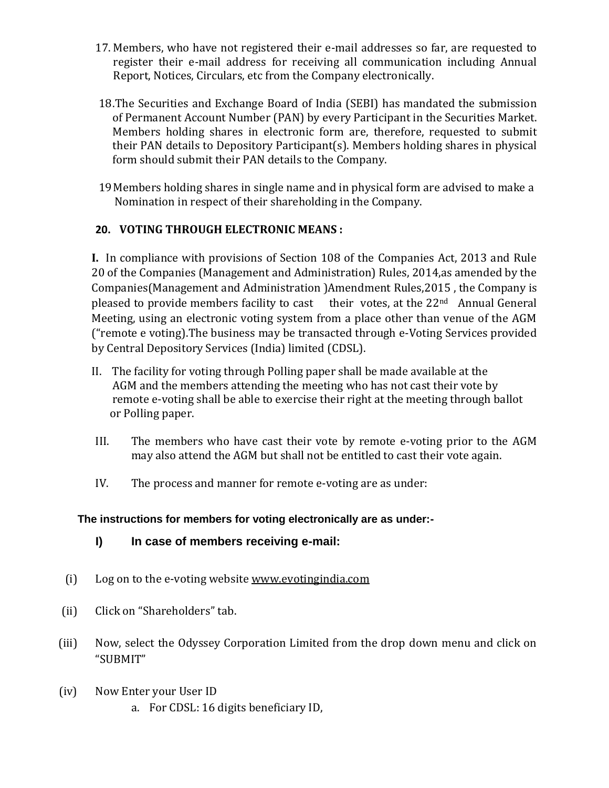- 17. Members, who have not registered their e-mail addresses so far, are requested to register their e-mail address for receiving all communication including Annual Report, Notices, Circulars, etc from the Company electronically.
- 18.The Securities and Exchange Board of India (SEBI) has mandated the submission of Permanent Account Number (PAN) by every Participant in the Securities Market. Members holding shares in electronic form are, therefore, requested to submit their PAN details to Depository Participant(s). Members holding shares in physical form should submit their PAN details to the Company.
- 19Members holding shares in single name and in physical form are advised to make a Nomination in respect of their shareholding in the Company.

# **20. VOTING THROUGH ELECTRONIC MEANS :**

**I.** In compliance with provisions of Section 108 of the Companies Act, 2013 and Rule 20 of the Companies (Management and Administration) Rules, 2014,as amended by the Companies(Management and Administration )Amendment Rules,2015 , the Company is pleased to provide members facility to cast their votes, at the 22nd Annual General Meeting, using an electronic voting system from a place other than venue of the AGM ("remote e voting).The business may be transacted through e-Voting Services provided by Central Depository Services (India) limited (CDSL).

- II. The facility for voting through Polling paper shall be made available at the AGM and the members attending the meeting who has not cast their vote by remote e-voting shall be able to exercise their right at the meeting through ballot or Polling paper.
- III. The members who have cast their vote by remote e-voting prior to the AGM may also attend the AGM but shall not be entitled to cast their vote again.
- IV. The process and manner for remote e-voting are as under:

## **The instructions for members for voting electronically are as under:-**

- **I) In case of members receiving e-mail:**
- (i) Log on to the e-voting website [www.evotingindia.com](http://www.evotingindia.com/)
- (ii) Click on "Shareholders" tab.
- (iii) Now, select the Odyssey Corporation Limited from the drop down menu and click on "SUBMIT"
- (iv) Now Enter your User ID a. For CDSL: 16 digits beneficiary ID,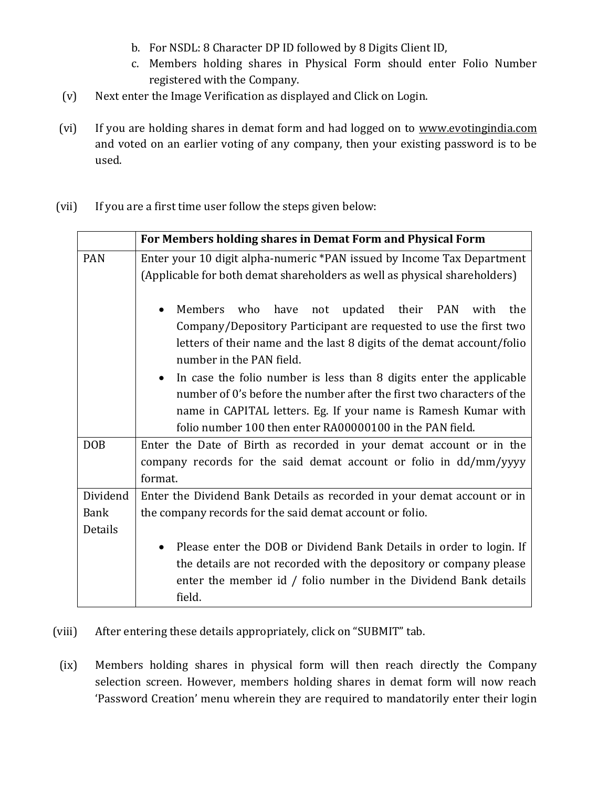- b. For NSDL: 8 Character DP ID followed by 8 Digits Client ID,
- c. Members holding shares in Physical Form should enter Folio Number registered with the Company.
- (v) Next enter the Image Verification as displayed and Click on Login.
- (vi) If you are holding shares in demat form and had logged on to [www.evotingindia.com](http://www.evotingindia.com/) and voted on an earlier voting of any company, then your existing password is to be used.
- (vii) If you are a first time user follow the steps given below:

|             | For Members holding shares in Demat Form and Physical Form                                                                                                                                                                                                                                                                                                                                                                                                                                                        |  |  |
|-------------|-------------------------------------------------------------------------------------------------------------------------------------------------------------------------------------------------------------------------------------------------------------------------------------------------------------------------------------------------------------------------------------------------------------------------------------------------------------------------------------------------------------------|--|--|
| <b>PAN</b>  | Enter your 10 digit alpha-numeric *PAN issued by Income Tax Department                                                                                                                                                                                                                                                                                                                                                                                                                                            |  |  |
|             | (Applicable for both demat shareholders as well as physical shareholders)                                                                                                                                                                                                                                                                                                                                                                                                                                         |  |  |
|             | Members who<br>have<br>not updated their PAN with<br>the<br>Company/Depository Participant are requested to use the first two<br>letters of their name and the last 8 digits of the demat account/folio<br>number in the PAN field.<br>In case the folio number is less than 8 digits enter the applicable<br>number of 0's before the number after the first two characters of the<br>name in CAPITAL letters. Eg. If your name is Ramesh Kumar with<br>folio number 100 then enter RA00000100 in the PAN field. |  |  |
| <b>DOB</b>  | Enter the Date of Birth as recorded in your demat account or in the                                                                                                                                                                                                                                                                                                                                                                                                                                               |  |  |
|             | company records for the said demat account or folio in dd/mm/yyyy                                                                                                                                                                                                                                                                                                                                                                                                                                                 |  |  |
|             | format.                                                                                                                                                                                                                                                                                                                                                                                                                                                                                                           |  |  |
| Dividend    | Enter the Dividend Bank Details as recorded in your demat account or in                                                                                                                                                                                                                                                                                                                                                                                                                                           |  |  |
| <b>Bank</b> | the company records for the said demat account or folio.                                                                                                                                                                                                                                                                                                                                                                                                                                                          |  |  |
| Details     |                                                                                                                                                                                                                                                                                                                                                                                                                                                                                                                   |  |  |
|             | Please enter the DOB or Dividend Bank Details in order to login. If                                                                                                                                                                                                                                                                                                                                                                                                                                               |  |  |
|             | the details are not recorded with the depository or company please                                                                                                                                                                                                                                                                                                                                                                                                                                                |  |  |
|             | enter the member id / folio number in the Dividend Bank details<br>field.                                                                                                                                                                                                                                                                                                                                                                                                                                         |  |  |

- (viii) After entering these details appropriately, click on "SUBMIT" tab.
- (ix) Members holding shares in physical form will then reach directly the Company selection screen. However, members holding shares in demat form will now reach 'Password Creation' menu wherein they are required to mandatorily enter their login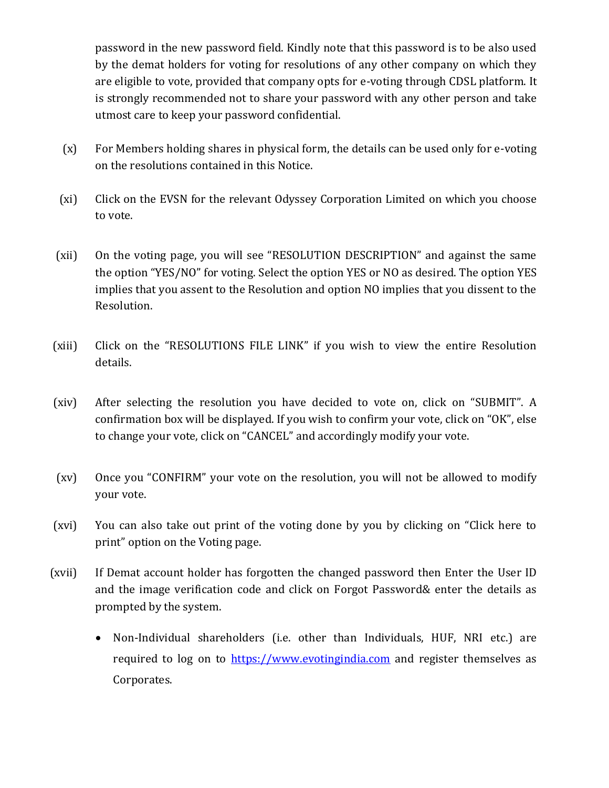password in the new password field. Kindly note that this password is to be also used by the demat holders for voting for resolutions of any other company on which they are eligible to vote, provided that company opts for e-voting through CDSL platform. It is strongly recommended not to share your password with any other person and take utmost care to keep your password confidential.

- (x) For Members holding shares in physical form, the details can be used only for e-voting on the resolutions contained in this Notice.
- (xi) Click on the EVSN for the relevant Odyssey Corporation Limited on which you choose to vote.
- (xii) On the voting page, you will see "RESOLUTION DESCRIPTION" and against the same the option "YES/NO" for voting. Select the option YES or NO as desired. The option YES implies that you assent to the Resolution and option NO implies that you dissent to the Resolution.
- (xiii) Click on the "RESOLUTIONS FILE LINK" if you wish to view the entire Resolution details.
- (xiv) After selecting the resolution you have decided to vote on, click on "SUBMIT". A confirmation box will be displayed. If you wish to confirm your vote, click on "OK", else to change your vote, click on "CANCEL" and accordingly modify your vote.
- (xv) Once you "CONFIRM" your vote on the resolution, you will not be allowed to modify your vote.
- (xvi) You can also take out print of the voting done by you by clicking on "Click here to print" option on the Voting page.
- (xvii) If Demat account holder has forgotten the changed password then Enter the User ID and the image verification code and click on Forgot Password& enter the details as prompted by the system.
	- Non-Individual shareholders (i.e. other than Individuals, HUF, NRI etc.) are required to log on to [https://www.evotingindia.com](https://www.evotingindia.com/) and register themselves as Corporates.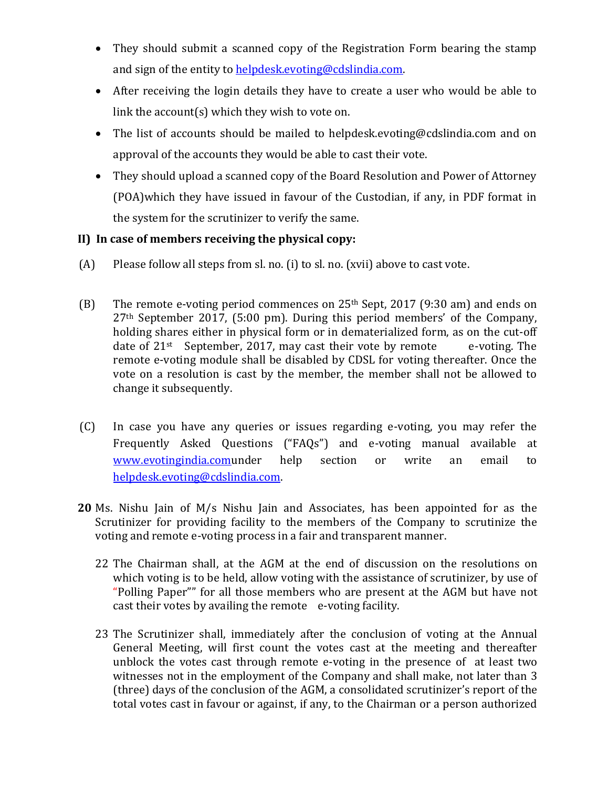- They should submit a scanned copy of the Registration Form bearing the stamp and sign of the entity to [helpdesk.evoting@cdslindia.com.](mailto:helpdesk.evoting@cdslindia.com)
- After receiving the login details they have to create a user who would be able to link the account(s) which they wish to vote on.
- The list of accounts should be mailed to helpdesk.evoting@cdslindia.com and on approval of the accounts they would be able to cast their vote.
- They should upload a scanned copy of the Board Resolution and Power of Attorney (POA)which they have issued in favour of the Custodian, if any, in PDF format in the system for the scrutinizer to verify the same.

## **II) In case of members receiving the physical copy:**

- (A) Please follow all steps from sl. no. (i) to sl. no. (xvii) above to cast vote.
- (B) The remote e-voting period commences on  $25<sup>th</sup>$  Sept, 2017 (9:30 am) and ends on 27th September 2017, (5:00 pm). During this period members' of the Company, holding shares either in physical form or in dematerialized form, as on the cut-off date of  $21^{st}$  September, 2017, may cast their vote by remote e-voting. The remote e-voting module shall be disabled by CDSL for voting thereafter. Once the vote on a resolution is cast by the member, the member shall not be allowed to change it subsequently.
- (C) In case you have any queries or issues regarding e-voting, you may refer the Frequently Asked Questions ("FAQs") and e-voting manual available at [www.evotingindia.comu](http://www.evotingindia.com/)nder help section or write an email to [helpdesk.evoting@cdslindia.com.](mailto:helpdesk.evoting@cdslindia.com)
- **20** Ms. Nishu Jain of M/s Nishu Jain and Associates, has been appointed for as the Scrutinizer for providing facility to the members of the Company to scrutinize the voting and remote e-voting process in a fair and transparent manner.
	- 22 The Chairman shall, at the AGM at the end of discussion on the resolutions on which voting is to be held, allow voting with the assistance of scrutinizer, by use of "Polling Paper"" for all those members who are present at the AGM but have not cast their votes by availing the remote e-voting facility.
	- 23 The Scrutinizer shall, immediately after the conclusion of voting at the Annual General Meeting, will first count the votes cast at the meeting and thereafter unblock the votes cast through remote e-voting in the presence of at least two witnesses not in the employment of the Company and shall make, not later than 3 (three) days of the conclusion of the AGM, a consolidated scrutinizer's report of the total votes cast in favour or against, if any, to the Chairman or a person authorized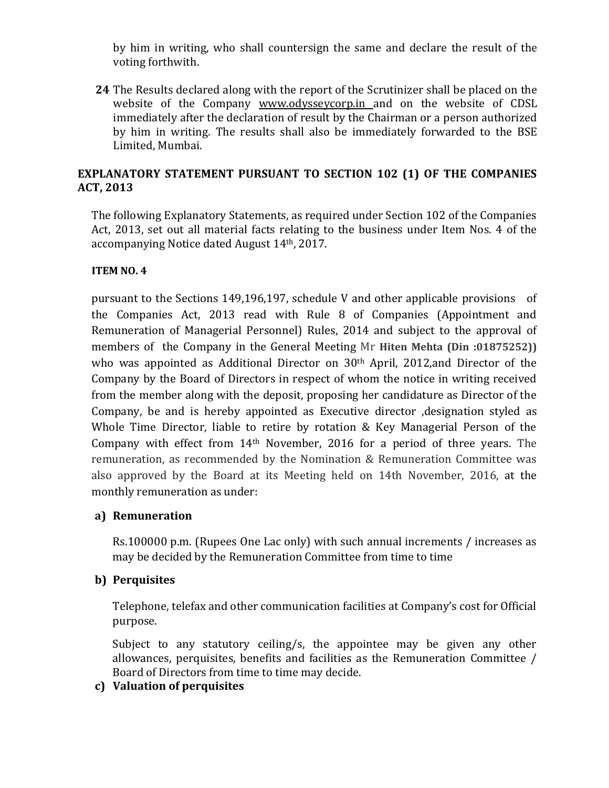by him in writing, who shall countersign the same and declare the result of the voting forthwith.

**24** The Results declared along with the report of the Scrutinizer shall be placed on the website of the Company [www.odysseycorp.in](http://www.odysseycorp.in/) and on the website of CDSL immediately after the declaration of result by the Chairman or a person authorized by him in writing. The results shall also be immediately forwarded to the BSE Limited, Mumbai.

## **EXPLANATORY STATEMENT PURSUANT TO SECTION 102 (1) OF THE COMPANIES ACT, 2013**

The following Explanatory Statements, as required under Section 102 of the Companies Act, 2013, set out all material facts relating to the business under Item Nos. 4 of the accompanying Notice dated August 14th, 2017.

## **ITEM NO. 4**

pursuant to the Sections 149,196,197, schedule V and other applicable provisions of the Companies Act, 2013 read with Rule 8 of Companies (Appointment and Remuneration of Managerial Personnel) Rules, 2014 and subject to the approval of members of the Company in the General Meeting Mr **Hiten Mehta (Din :01875252))**  who was appointed as Additional Director on 30<sup>th</sup> April, 2012, and Director of the Company by the Board of Directors in respect of whom the notice in writing received from the member along with the deposit, proposing her candidature as Director of the Company, be and is hereby appointed as Executive director ,designation styled as Whole Time Director, liable to retire by rotation & Key Managerial Person of the Company with effect from 14th November, 2016 for a period of three years. The remuneration, as recommended by the Nomination & Remuneration Committee was also approved by the Board at its Meeting held on 14th November, 2016, at the monthly remuneration as under:

## **a) Remuneration**

Rs.100000 p.m. (Rupees One Lac only) with such annual increments / increases as may be decided by the Remuneration Committee from time to time

## **b) Perquisites**

Telephone, telefax and other communication facilities at Company's cost for Official purpose.

Subject to any statutory ceiling/s, the appointee may be given any other allowances, perquisites, benefits and facilities as the Remuneration Committee / Board of Directors from time to time may decide.

## **c) Valuation of perquisites**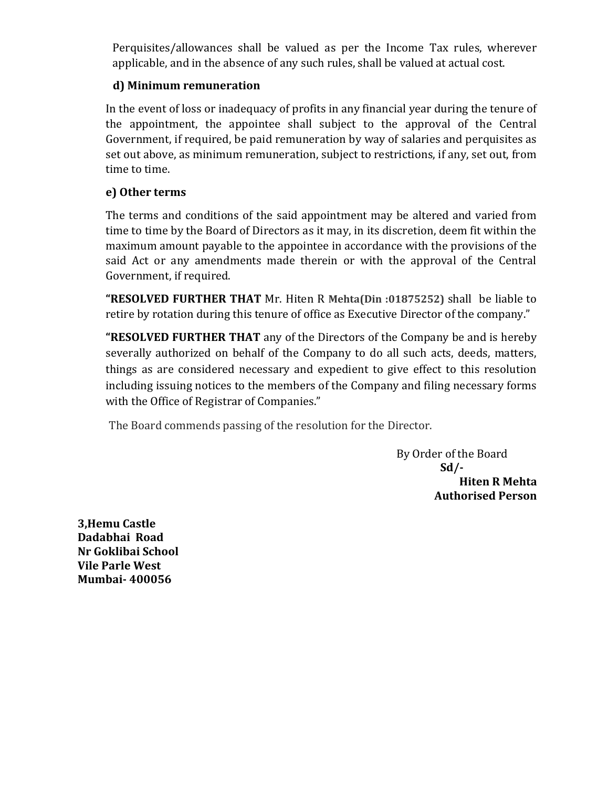Perquisites/allowances shall be valued as per the Income Tax rules, wherever applicable, and in the absence of any such rules, shall be valued at actual cost.

# **d) Minimum remuneration**

In the event of loss or inadequacy of profits in any financial year during the tenure of the appointment, the appointee shall subject to the approval of the Central Government, if required, be paid remuneration by way of salaries and perquisites as set out above, as minimum remuneration, subject to restrictions, if any, set out, from time to time.

## **e) Other terms**

The terms and conditions of the said appointment may be altered and varied from time to time by the Board of Directors as it may, in its discretion, deem fit within the maximum amount payable to the appointee in accordance with the provisions of the said Act or any amendments made therein or with the approval of the Central Government, if required.

**"RESOLVED FURTHER THAT** Mr. Hiten R **Mehta(Din :01875252)** shall be liable to retire by rotation during this tenure of office as Executive Director of the company."

**"RESOLVED FURTHER THAT** any of the Directors of the Company be and is hereby severally authorized on behalf of the Company to do all such acts, deeds, matters, things as are considered necessary and expedient to give effect to this resolution including issuing notices to the members of the Company and filing necessary forms with the Office of Registrar of Companies."

The Board commends passing of the resolution for the Director.

 By Order of the Board  **Sd/- Hiten R Mehta Authorised Person**

**3,Hemu Castle Dadabhai Road Nr Goklibai School Vile Parle West Mumbai- 400056**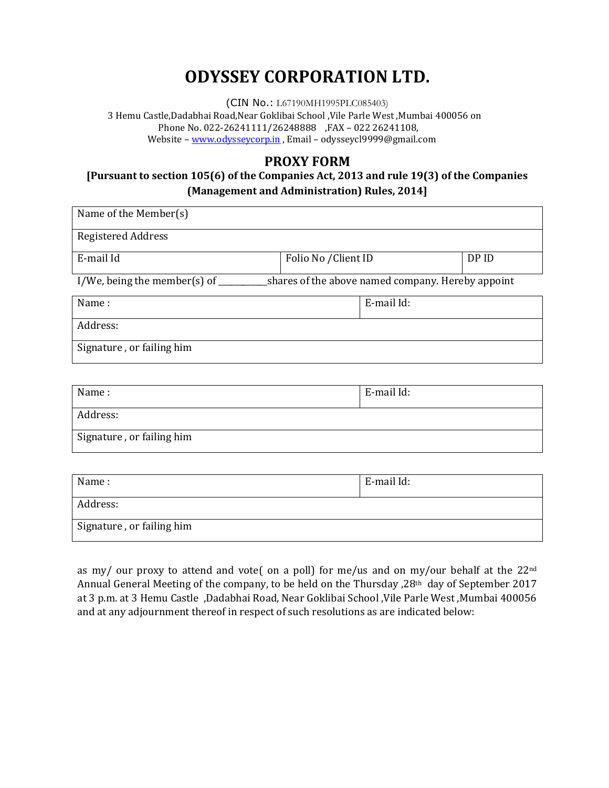# **ODYSSEY CORPORATION LTD.**

(CIN No.: L67190MH1995PLC085403) 3 Hemu Castle,Dadabhai Road,Near Goklibai School ,Vile Parle West ,Mumbai 400056 on Phone No. 022-26241111/26248888 ,FAX – 022 26241108, Website – [www.odysseycorp.in](http://www.odysseycorp.in/) , Email – odysseycl9999@gmail.com

## **PROXY FORM**

## **[Pursuant to section 105(6) of the Companies Act, 2013 and rule 19(3) of the Companies (Management and Administration) Rules, 2014]**

| Name of the Member(s)                                                                                      |                      |            |       |  |  |
|------------------------------------------------------------------------------------------------------------|----------------------|------------|-------|--|--|
| <b>Registered Address</b>                                                                                  |                      |            |       |  |  |
| E-mail Id                                                                                                  | Folio No / Client ID |            | DP ID |  |  |
| I/We, being the member(s) of $\overline{\phantom{a}}$<br>shares of the above named company. Hereby appoint |                      |            |       |  |  |
| Name:                                                                                                      |                      | E-mail Id: |       |  |  |
| Address:                                                                                                   |                      |            |       |  |  |
| Signature, or failing him                                                                                  |                      |            |       |  |  |

| Name:                     | E-mail Id: |  |
|---------------------------|------------|--|
| Address:                  |            |  |
| Signature, or failing him |            |  |

| Name:                     | E-mail Id: |
|---------------------------|------------|
| Address:                  |            |
| Signature, or failing him |            |

as my/ our proxy to attend and vote( on a poll) for me/us and on my/our behalf at the 22<sup>nd</sup> Annual General Meeting of the company, to be held on the Thursday ,28th day of September 2017 at 3 p.m. at 3 Hemu Castle ,Dadabhai Road, Near Goklibai School ,Vile Parle West ,Mumbai 400056 and at any adjournment thereof in respect of such resolutions as are indicated below: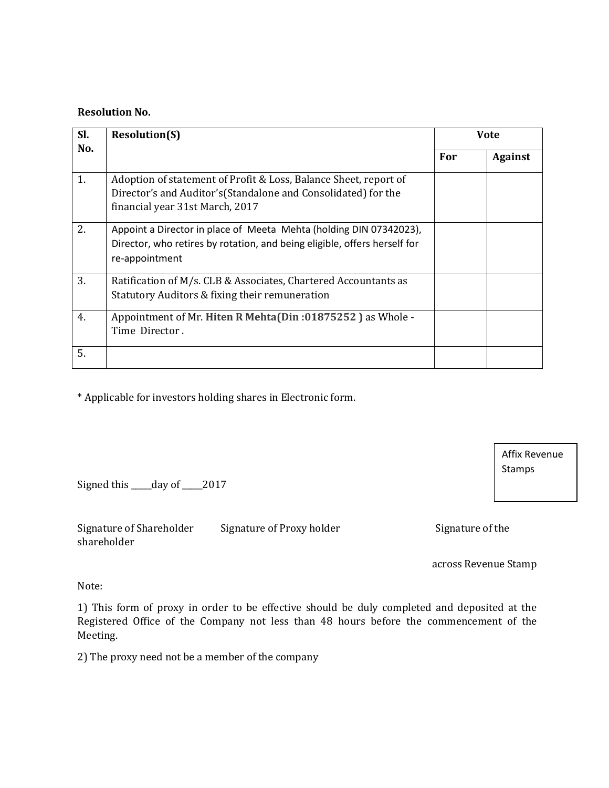#### **Resolution No.**

| SI. | <b>Resolution(S)</b>                                                                                                                                                  | <b>Vote</b> |                |
|-----|-----------------------------------------------------------------------------------------------------------------------------------------------------------------------|-------------|----------------|
| No. |                                                                                                                                                                       | For         | <b>Against</b> |
| 1.  | Adoption of statement of Profit & Loss, Balance Sheet, report of<br>Director's and Auditor's (Standalone and Consolidated) for the<br>financial year 31st March, 2017 |             |                |
| 2.  | Appoint a Director in place of Meeta Mehta (holding DIN 07342023),<br>Director, who retires by rotation, and being eligible, offers herself for<br>re-appointment     |             |                |
| 3.  | Ratification of M/s. CLB & Associates, Chartered Accountants as<br>Statutory Auditors & fixing their remuneration                                                     |             |                |
| 4.  | Appointment of Mr. Hiten R Mehta(Din:01875252) as Whole -<br>Time Director.                                                                                           |             |                |
| 5.  |                                                                                                                                                                       |             |                |

\* Applicable for investors holding shares in Electronic form.

Signed this \_\_\_\_\_day of \_\_\_\_\_2017

Signature of Shareholder Signature of Proxy holder Signature of the shareholder

across Revenue Stamp

Affix Revenue

Stamps

Note:

1) This form of proxy in order to be effective should be duly completed and deposited at the Registered Office of the Company not less than 48 hours before the commencement of the Meeting.

2) The proxy need not be a member of the company